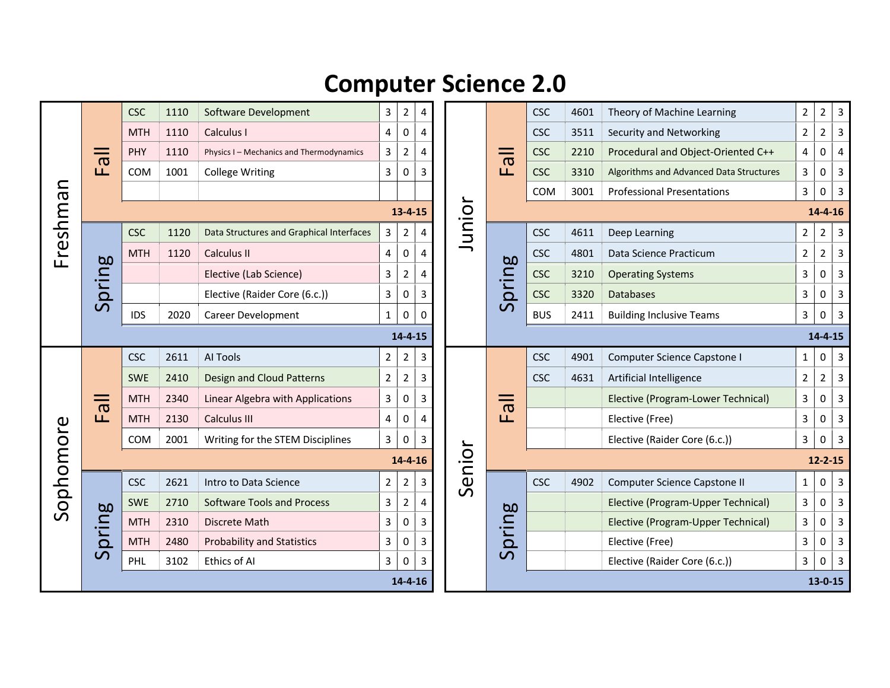## **Computer Science 2.0**

| Freshman  | $\overline{\overline{6}}$<br>Щ | <b>CSC</b> | 1110 | Software Development                     | 3              | $\overline{2}$ | 4              |       | $\mathbf{u}$            | <b>CSC</b>    | 4601          | Theory of Machine Learning              | $\mathbf 2$    | $\overline{2}$ | $\mathbf{3}$            |  |  |
|-----------|--------------------------------|------------|------|------------------------------------------|----------------|----------------|----------------|-------|-------------------------|---------------|---------------|-----------------------------------------|----------------|----------------|-------------------------|--|--|
|           |                                | <b>MTH</b> | 1110 | Calculus I                               | 4              | 0              | $\overline{4}$ |       |                         | <b>CSC</b>    | 3511          | Security and Networking                 | $\mathbf 2$    | $\overline{2}$ | $\mathbf{3}$            |  |  |
|           |                                | PHY        | 1110 | Physics I - Mechanics and Thermodynamics | 3              | 2              | 4              |       |                         | <b>CSC</b>    | 2210          | Procedural and Object-Oriented C++      | 4              | 0              | $\overline{4}$          |  |  |
|           |                                | COM        | 1001 | <b>College Writing</b>                   | 3              | 0              | 3              |       |                         | <b>CSC</b>    | 3310          | Algorithms and Advanced Data Structures | 3              | $\pmb{0}$      | $\mathsf{3}$            |  |  |
|           |                                |            |      |                                          |                |                |                |       |                         | COM           | 3001          | <b>Professional Presentations</b>       | 3              | $\pmb{0}$      | $\mathbf{3}$            |  |  |
|           |                                |            |      |                                          |                | $13 - 4 - 15$  |                | unior |                         | $14 - 4 - 16$ |               |                                         |                |                |                         |  |  |
|           | Spring                         | <b>CSC</b> | 1120 | Data Structures and Graphical Interfaces | $\mathbf{3}$   | $\overline{2}$ | 4              |       | <b>bo</b><br>pring      | <b>CSC</b>    | 4611          | Deep Learning                           | $\overline{2}$ | $\overline{2}$ | $\overline{3}$          |  |  |
|           |                                | <b>MTH</b> | 1120 | Calculus II                              | 4              | 0              | 4              |       |                         | <b>CSC</b>    | 4801          | Data Science Practicum                  | 2              | $\overline{2}$ | $\overline{3}$          |  |  |
|           |                                |            |      | Elective (Lab Science)                   | 3              | 2              | 4              |       |                         | <b>CSC</b>    | 3210          | <b>Operating Systems</b>                | 3              | $\pmb{0}$      | $\overline{3}$          |  |  |
|           |                                |            |      | Elective (Raider Core (6.c.))            | 3              | 0              | 3              |       |                         | <b>CSC</b>    | 3320          | <b>Databases</b>                        | 3              | $\pmb{0}$      | $\mathbf{3}$            |  |  |
|           |                                | <b>IDS</b> | 2020 | Career Development                       | $\mathbf{1}$   | 0              | 0              |       | ၯ                       | <b>BUS</b>    | 2411          | <b>Building Inclusive Teams</b>         | 3              | $\pmb{0}$      | $\overline{3}$          |  |  |
|           |                                |            |      |                                          |                | $14 - 4 - 15$  |                |       |                         |               |               |                                         |                | $14 - 4 - 15$  |                         |  |  |
| Sophomore | $\overline{\overline{6}}$<br>L | <b>CSC</b> | 2611 | AI Tools                                 | $\overline{2}$ | 2              | 3              |       | L                       | <b>CSC</b>    | 4901          | Computer Science Capstone I             | 1              | $\pmb{0}$      | $\mathbf{3}$            |  |  |
|           |                                | <b>SWE</b> | 2410 | <b>Design and Cloud Patterns</b>         | $\overline{2}$ | $\overline{2}$ | 3              |       |                         | <b>CSC</b>    | 4631          | Artificial Intelligence                 | $\overline{2}$ | $\overline{2}$ | $\mathbf{3}$            |  |  |
|           |                                | <b>MTH</b> | 2340 | Linear Algebra with Applications         | 3              | 0              | 3              |       |                         |               |               | Elective (Program-Lower Technical)      | 3              | 0              | $\mathsf{3}$            |  |  |
|           |                                | <b>MTH</b> | 2130 | <b>Calculus III</b>                      | 4              | 0              | 4              |       |                         |               |               | Elective (Free)                         | 3              | $\pmb{0}$      | $\overline{3}$          |  |  |
|           |                                | <b>COM</b> | 2001 | Writing for the STEM Disciplines         | $\mathbf{3}$   | 0              | 3              |       |                         |               |               | Elective (Raider Core (6.c.))           | 3              | 0              | $\mathbf{3}$            |  |  |
|           | Senior<br>$14 - 4 - 16$        |            |      |                                          |                |                |                |       |                         | $12 - 2 - 15$ |               |                                         |                |                |                         |  |  |
|           | pring<br>$\overline{S}$        | <b>CSC</b> | 2621 | Intro to Data Science                    | $2^{\circ}$    | $\overline{2}$ | 3              |       | pring<br>$\overline{S}$ | <b>CSC</b>    | 4902          | Computer Science Capstone II            | $\mathbf{1}$   | 0              | $\mathbf{3}$            |  |  |
|           |                                | <b>SWE</b> | 2710 | <b>Software Tools and Process</b>        | 3              | 2              | 4              |       |                         |               |               | Elective (Program-Upper Technical)      | 3              | $\pmb{0}$      | $\mathbf{3}$            |  |  |
|           |                                | <b>MTH</b> | 2310 | Discrete Math                            | 3              | 0              | 3              |       |                         |               |               | Elective (Program-Upper Technical)      | 3              | $\pmb{0}$      | $\mathbf{3}$            |  |  |
|           |                                | <b>MTH</b> | 2480 | <b>Probability and Statistics</b>        | 3              | 0              | 3              |       |                         |               |               | Elective (Free)                         | 3              | $\pmb{0}$      | $\overline{\mathbf{3}}$ |  |  |
|           |                                | PHL        | 3102 | Ethics of Al                             | 3              | 0              | 3              |       |                         |               |               | Elective (Raider Core (6.c.))           | 3              | $\pmb{0}$      | $\overline{3}$          |  |  |
|           | $14 - 4 - 16$                  |            |      |                                          |                |                |                |       |                         |               | $13 - 0 - 15$ |                                         |                |                |                         |  |  |